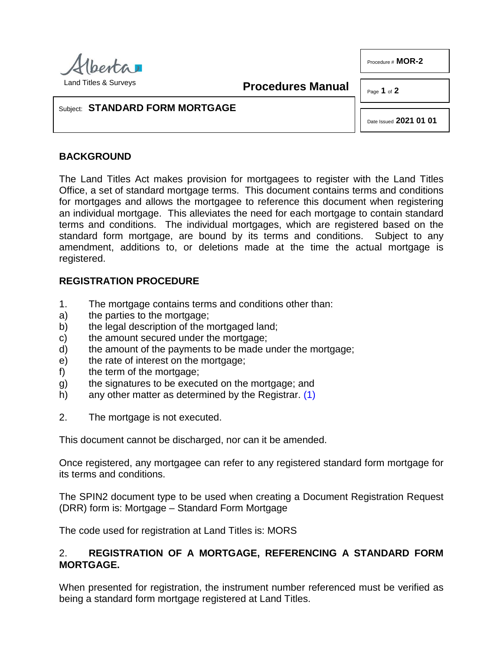

Procedure # **MOR-2**

**Procedures Manual**

Page **1** of **2**

### Subject: **STANDARD FORM MORTGAGE**

Date Issued **2021 01 01**

# **BACKGROUND**

The Land Titles Act makes provision for mortgagees to register with the Land Titles Office, a set of standard mortgage terms. This document contains terms and conditions for mortgages and allows the mortgagee to reference this document when registering an individual mortgage. This alleviates the need for each mortgage to contain standard terms and conditions. The individual mortgages, which are registered based on the standard form mortgage, are bound by its terms and conditions. Subject to any amendment, additions to, or deletions made at the time the actual mortgage is registered.

## **REGISTRATION PROCEDURE**

- 1. The mortgage contains terms and conditions other than:
- a) the parties to the mortgage;
- b) the legal description of the mortgaged land;
- c) the amount secured under the mortgage;
- d) the amount of the payments to be made under the mortgage;
- e) the rate of interest on the mortgage;
- f) the term of the mortgage;
- g) the signatures to be executed on the mortgage; and
- <span id="page-0-0"></span>h) any other matter as determined by the Registrar. [\(1\)](#page-1-0)
- 2. The mortgage is not executed.

This document cannot be discharged, nor can it be amended.

Once registered, any mortgagee can refer to any registered standard form mortgage for its terms and conditions.

The SPIN2 document type to be used when creating a Document Registration Request (DRR) form is: Mortgage – Standard Form Mortgage

The code used for registration at Land Titles is: MORS

## 2. **REGISTRATION OF A MORTGAGE, REFERENCING A STANDARD FORM MORTGAGE.**

When presented for registration, the instrument number referenced must be verified as being a standard form mortgage registered at Land Titles.